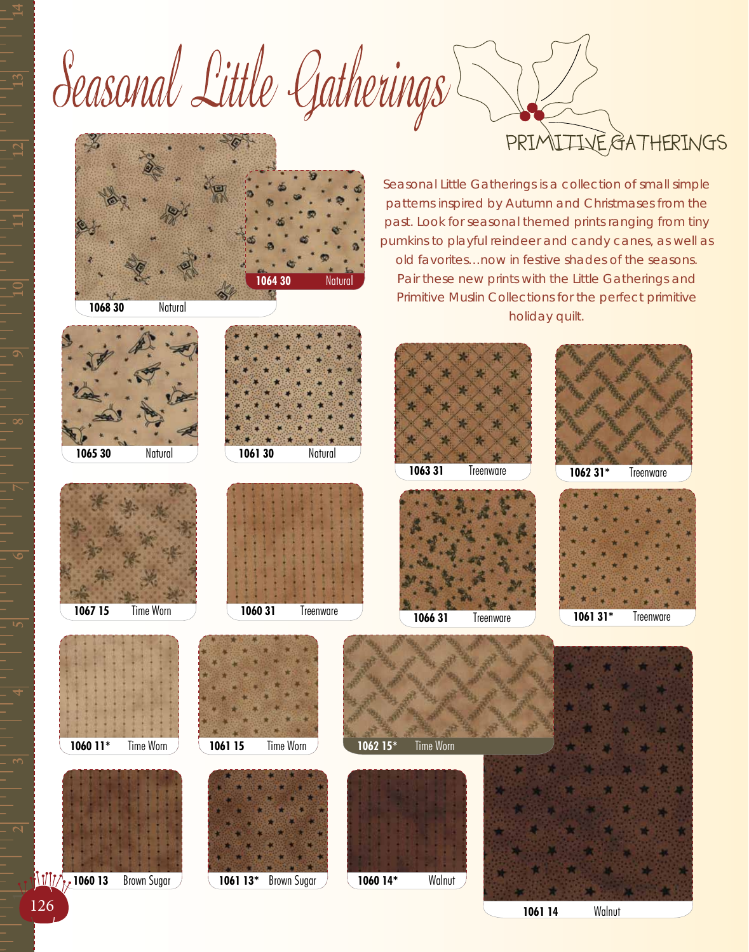Seasonal Little Gatherings **IIVE GATHERINGS** PRIA



**1068 30** Natural

Seasonal Little Gatherings is a collection of small simple patterns inspired by Autumn and Christmases from the past. Look for seasonal themed prints ranging from tiny pumkins to playful reindeer and candy canes, as well as old favorites…now in festive shades of the seasons. Pair these new prints with the Little Gatherings and Primitive Muslin Collections for the perfect primitive holiday quilt.

**1060 11\*** Time Worn **1061 15** Time Worn **1065 30** Natural **1067 15** Time Worn **1061 30** Natural **1060 31** Treenware **1063 31** Treenware **1066 31** Treenware **1062 31\*** Treenware **1061 31\*** Treenware **1062 15\*** Time Worn

**1060 13** Brown Sugar **1061 13\*** Brown Sugar **1060 14\*** Walnut

126 **1061 14** Walnut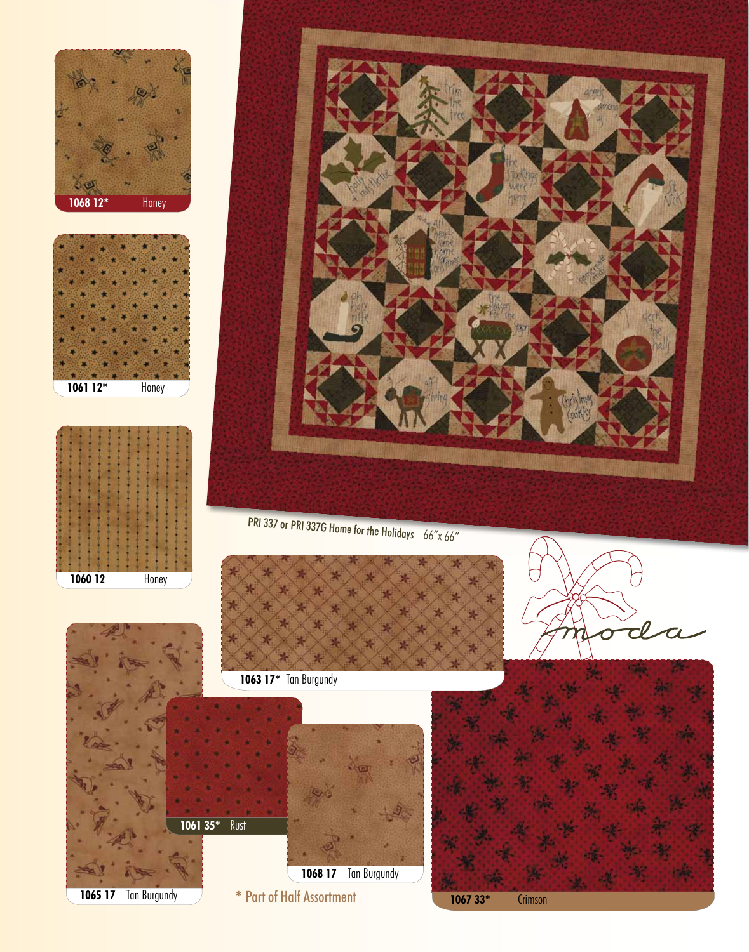







PRI 337 or PRI 337G Home for the Holidays 66"x 66"

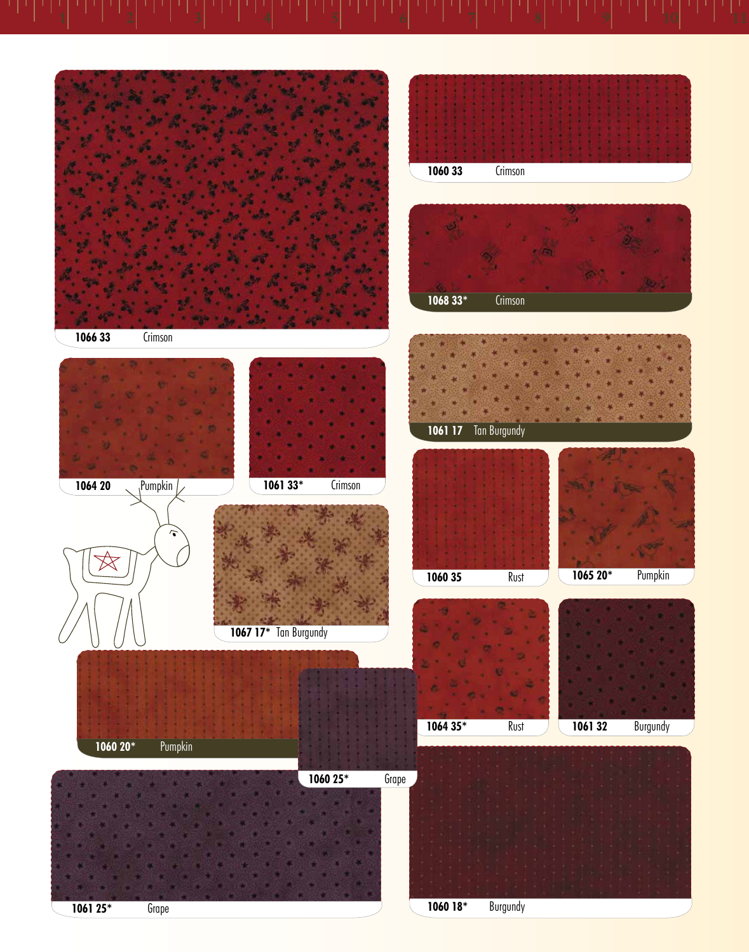